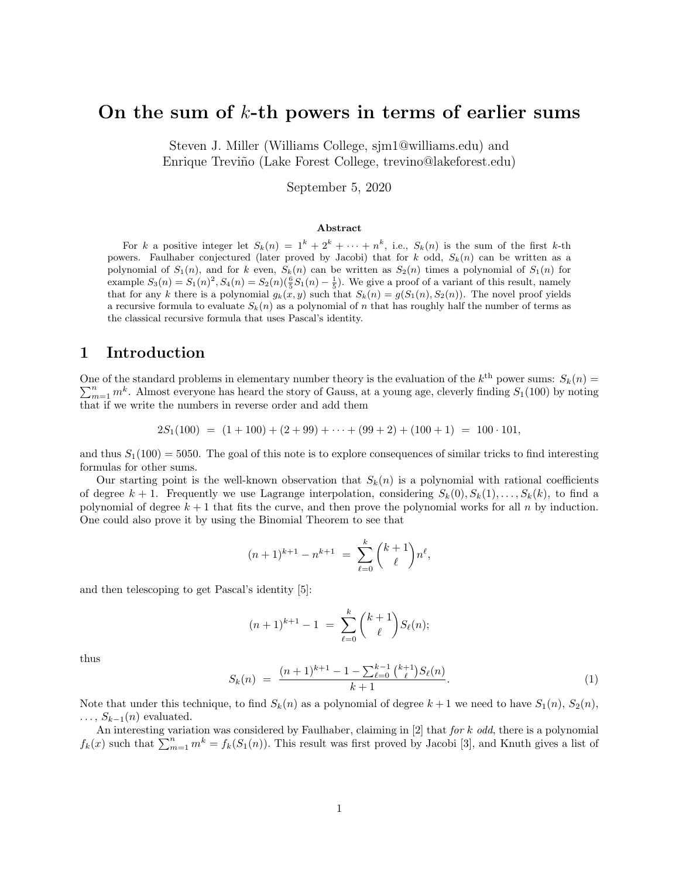# On the sum of  $k$ -th powers in terms of earlier sums

Steven J. Miller (Williams College, sjm1@williams.edu) and Enrique Treviño (Lake Forest College, trevino@lakeforest.edu)

September 5, 2020

#### Abstract

For k a positive integer let  $S_k(n) = 1^k + 2^k + \cdots + n^k$ , i.e.,  $S_k(n)$  is the sum of the first k-th powers. Faulhaber conjectured (later proved by Jacobi) that for k odd,  $S_k(n)$  can be written as a polynomial of  $S_1(n)$ , and for k even,  $S_k(n)$  can be written as  $S_2(n)$  times a polynomial of  $S_1(n)$  for example  $S_3(n) = S_1(n)^2$ ,  $S_4(n) = S_2(n)$  $\left(\frac{6}{5}S_1(n) - \frac{1}{5}\right)$ . We give a proof of a variant of this result, namely that for any k there is a polynomial  $g_k(x, y)$  such that  $S_k(n) = g(S_1(n), S_2(n))$ . The novel proof yields a recursive formula to evaluate  $S_k(n)$  as a polynomial of n that has roughly half the number of terms as the classical recursive formula that uses Pascal's identity.

### 1 Introduction

One of the standard problems in elementary number theory is the evaluation of the  $k^{\text{th}}$  power sums:  $S_k(n)$  $\sum_{m=1}^{n} m^{k}$ . Almost everyone has heard the story of Gauss, at a young age, cleverly finding  $S_1(100)$  by noting that if we write the numbers in reverse order and add them

 $2S_1(100) = (1+100) + (2+99) + \cdots + (99+2) + (100+1) = 100 \cdot 101$ 

and thus  $S_1(100) = 5050$ . The goal of this note is to explore consequences of similar tricks to find interesting formulas for other sums.

Our starting point is the well-known observation that  $S_k(n)$  is a polynomial with rational coefficients of degree  $k + 1$ . Frequently we use Lagrange interpolation, considering  $S_k(0), S_k(1), \ldots, S_k(k)$ , to find a polynomial of degree  $k + 1$  that fits the curve, and then prove the polynomial works for all n by induction. One could also prove it by using the Binomial Theorem to see that

$$
(n+1)^{k+1} - n^{k+1} = \sum_{\ell=0}^{k} \binom{k+1}{\ell} n^{\ell},
$$

and then telescoping to get Pascal's identity [5]:

$$
(n+1)^{k+1} - 1 = \sum_{\ell=0}^{k} {k+1 \choose \ell} S_{\ell}(n);
$$

thus

$$
S_k(n) = \frac{(n+1)^{k+1} - 1 - \sum_{\ell=0}^{k-1} {\binom{k+1}{\ell}} S_{\ell}(n)}{k+1}.
$$
\n(1)

Note that under this technique, to find  $S_k(n)$  as a polynomial of degree  $k+1$  we need to have  $S_1(n)$ ,  $S_2(n)$ ,  $\ldots$ ,  $S_{k-1}(n)$  evaluated.

An interesting variation was considered by Faulhaber, claiming in [2] that for k odd, there is a polynomial  $f_k(x)$  such that  $\sum_{m=1}^n m^k = f_k(S_1(n))$ . This result was first proved by Jacobi [3], and Knuth gives a list of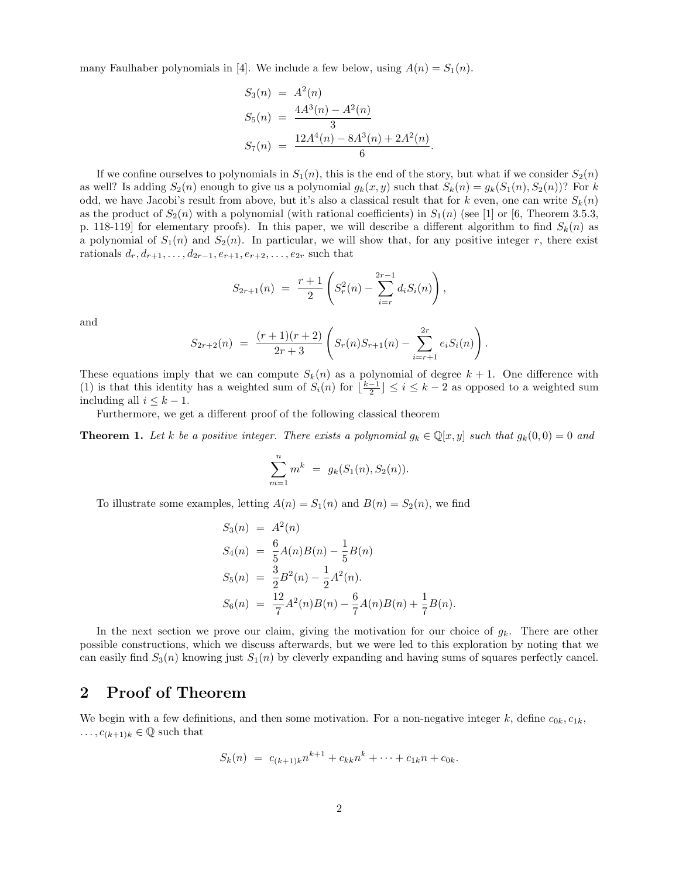many Faulhaber polynomials in [4]. We include a few below, using  $A(n) = S_1(n)$ .

$$
S_3(n) = A^2(n)
$$
  
\n
$$
S_5(n) = \frac{4A^3(n) - A^2(n)}{3}
$$
  
\n
$$
S_7(n) = \frac{12A^4(n) - 8A^3(n) + 2A^2(n)}{6}
$$

.

If we confine ourselves to polynomials in  $S_1(n)$ , this is the end of the story, but what if we consider  $S_2(n)$ as well? Is adding  $S_2(n)$  enough to give us a polynomial  $g_k(x, y)$  such that  $S_k(n) = g_k(S_1(n), S_2(n))$ ? For k odd, we have Jacobi's result from above, but it's also a classical result that for k even, one can write  $S_k(n)$ as the product of  $S_2(n)$  with a polynomial (with rational coefficients) in  $S_1(n)$  (see [1] or [6, Theorem 3.5.3, p. 118-119] for elementary proofs). In this paper, we will describe a different algorithm to find  $S_k(n)$  as a polynomial of  $S_1(n)$  and  $S_2(n)$ . In particular, we will show that, for any positive integer r, there exist rationals  $d_r, d_{r+1}, \ldots, d_{2r-1}, e_{r+1}, e_{r+2}, \ldots, e_{2r}$  such that

$$
S_{2r+1}(n) = \frac{r+1}{2} \left( S_r^2(n) - \sum_{i=r}^{2r-1} d_i S_i(n) \right),
$$

and

$$
S_{2r+2}(n) = \frac{(r+1)(r+2)}{2r+3} \left( S_r(n)S_{r+1}(n) - \sum_{i=r+1}^{2r} e_i S_i(n) \right).
$$

These equations imply that we can compute  $S_k(n)$  as a polynomial of degree  $k + 1$ . One difference with (1) is that this identity has a weighted sum of  $S_i(n)$  for  $\lfloor \frac{k-1}{2} \rfloor \leq i \leq k-2$  as opposed to a weighted sum including all  $i \leq k - 1$ .

Furthermore, we get a different proof of the following classical theorem

**Theorem 1.** Let k be a positive integer. There exists a polynomial  $g_k \in \mathbb{Q}[x, y]$  such that  $g_k(0, 0) = 0$  and

$$
\sum_{m=1}^{n} m^{k} = g_{k}(S_{1}(n), S_{2}(n)).
$$

To illustrate some examples, letting  $A(n) = S_1(n)$  and  $B(n) = S_2(n)$ , we find

$$
S_3(n) = A^2(n)
$$
  
\n
$$
S_4(n) = \frac{6}{5}A(n)B(n) - \frac{1}{5}B(n)
$$
  
\n
$$
S_5(n) = \frac{3}{2}B^2(n) - \frac{1}{2}A^2(n).
$$
  
\n
$$
S_6(n) = \frac{12}{7}A^2(n)B(n) - \frac{6}{7}A(n)B(n) + \frac{1}{7}B(n).
$$

In the next section we prove our claim, giving the motivation for our choice of  $g_k$ . There are other possible constructions, which we discuss afterwards, but we were led to this exploration by noting that we can easily find  $S_3(n)$  knowing just  $S_1(n)$  by cleverly expanding and having sums of squares perfectly cancel.

### 2 Proof of Theorem

We begin with a few definitions, and then some motivation. For a non-negative integer k, define  $c_{0k}, c_{1k}$ ,  $\ldots, c_{(k+1)k} \in \mathbb{Q}$  such that

$$
S_k(n) = c_{(k+1)k}n^{k+1} + c_{kk}n^k + \dots + c_{1k}n + c_{0k}.
$$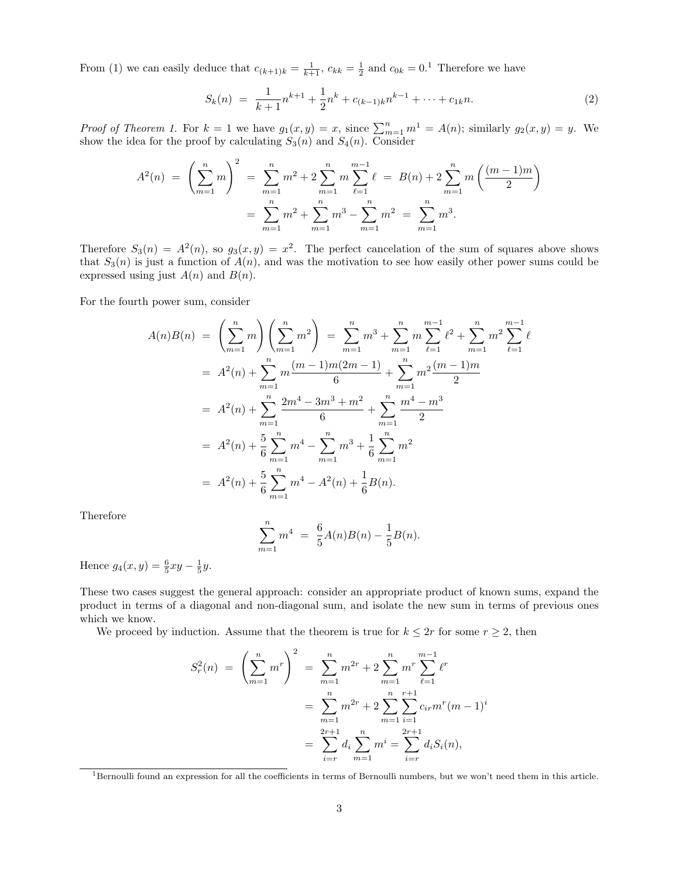From (1) we can easily deduce that  $c_{(k+1)k} = \frac{1}{k+1}$ ,  $c_{kk} = \frac{1}{2}$  and  $c_{0k} = 0.1$  Therefore we have

$$
S_k(n) = \frac{1}{k+1}n^{k+1} + \frac{1}{2}n^k + c_{(k-1)k}n^{k-1} + \dots + c_{1k}n.
$$
 (2)

*Proof of Theorem 1.* For  $k = 1$  we have  $g_1(x, y) = x$ , since  $\sum_{m=1}^n m^1 = A(n)$ ; similarly  $g_2(x, y) = y$ . We show the idea for the proof by calculating  $S_3(n)$  and  $S_4(n)$ . Consider

$$
A^{2}(n) = \left(\sum_{m=1}^{n} m\right)^{2} = \sum_{m=1}^{n} m^{2} + 2 \sum_{m=1}^{n} m \sum_{\ell=1}^{m-1} \ell = B(n) + 2 \sum_{m=1}^{n} m \left(\frac{(m-1)m}{2}\right)
$$

$$
= \sum_{m=1}^{n} m^{2} + \sum_{m=1}^{n} m^{3} - \sum_{m=1}^{n} m^{2} = \sum_{m=1}^{n} m^{3}.
$$

Therefore  $S_3(n) = A^2(n)$ , so  $g_3(x, y) = x^2$ . The perfect cancelation of the sum of squares above shows that  $S_3(n)$  is just a function of  $A(n)$ , and was the motivation to see how easily other power sums could be expressed using just  $A(n)$  and  $B(n)$ .

For the fourth power sum, consider

$$
A(n)B(n) = \left(\sum_{m=1}^{n} m\right)\left(\sum_{m=1}^{n} m^{2}\right) = \sum_{m=1}^{n} m^{3} + \sum_{m=1}^{n} m \sum_{\ell=1}^{m-1} \ell^{2} + \sum_{m=1}^{n} m^{2} \sum_{\ell=1}^{m-1} \ell^{2}
$$
  
=  $A^{2}(n) + \sum_{m=1}^{n} m \frac{(m-1)m(2m-1)}{6} + \sum_{m=1}^{n} m^{2} \frac{(m-1)m}{2}$   
=  $A^{2}(n) + \sum_{m=1}^{n} \frac{2m^{4} - 3m^{3} + m^{2}}{6} + \sum_{m=1}^{n} \frac{m^{4} - m^{3}}{2}$   
=  $A^{2}(n) + \frac{5}{6} \sum_{m=1}^{n} m^{4} - \sum_{m=1}^{n} m^{3} + \frac{1}{6} \sum_{m=1}^{n} m^{2}$   
=  $A^{2}(n) + \frac{5}{6} \sum_{m=1}^{n} m^{4} - A^{2}(n) + \frac{1}{6} B(n).$ 

Therefore

$$
\sum_{m=1}^{n} m^{4} = \frac{6}{5}A(n)B(n) - \frac{1}{5}B(n).
$$

Hence  $g_4(x, y) = \frac{6}{5}xy - \frac{1}{5}y$ .

These two cases suggest the general approach: consider an appropriate product of known sums, expand the product in terms of a diagonal and non-diagonal sum, and isolate the new sum in terms of previous ones which we know.

We proceed by induction. Assume that the theorem is true for  $k \leq 2r$  for some  $r \geq 2$ , then

$$
S_r^2(n) = \left(\sum_{m=1}^n m^r\right)^2 = \sum_{m=1}^n m^{2r} + 2\sum_{m=1}^n m^r \sum_{\ell=1}^{m-1} \ell^r
$$
  
= 
$$
\sum_{m=1}^n m^{2r} + 2\sum_{m=1}^n \sum_{i=1}^{r+1} c_{ir} m^r (m-1)^i
$$
  
= 
$$
\sum_{i=r}^{2r+1} d_i \sum_{m=1}^n m^i = \sum_{i=r}^{2r+1} d_i S_i(n),
$$

<sup>1</sup>Bernoulli found an expression for all the coefficients in terms of Bernoulli numbers, but we won't need them in this article.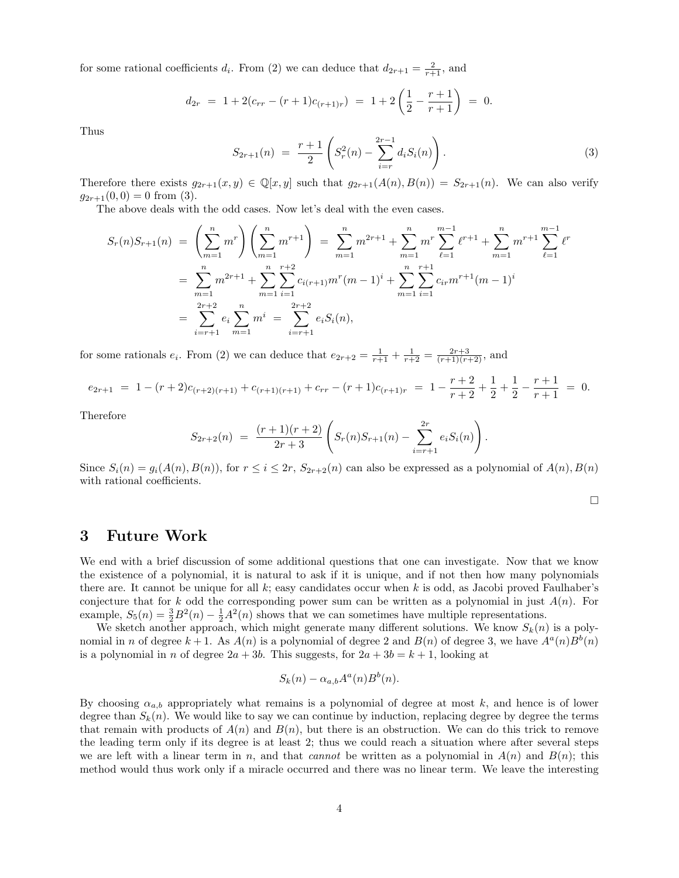for some rational coefficients  $d_i$ . From (2) we can deduce that  $d_{2r+1} = \frac{2}{r+1}$ , and

$$
d_{2r} = 1 + 2(c_{rr} - (r+1)c_{(r+1)r}) = 1 + 2\left(\frac{1}{2} - \frac{r+1}{r+1}\right) = 0.
$$

Thus

$$
S_{2r+1}(n) = \frac{r+1}{2} \left( S_r^2(n) - \sum_{i=r}^{2r-1} d_i S_i(n) \right). \tag{3}
$$

Therefore there exists  $g_{2r+1}(x, y) \in \mathbb{Q}[x, y]$  such that  $g_{2r+1}(A(n), B(n)) = S_{2r+1}(n)$ . We can also verify  $g_{2r+1}(0, 0) = 0$  from (3).

The above deals with the odd cases. Now let's deal with the even cases.

$$
S_r(n)S_{r+1}(n) = \left(\sum_{m=1}^n m^r\right)\left(\sum_{m=1}^n m^{r+1}\right) = \sum_{m=1}^n m^{2r+1} + \sum_{m=1}^n m^r \sum_{\ell=1}^{m-1} \ell^{r+1} + \sum_{m=1}^n m^{r+1} \sum_{\ell=1}^{m-1} \ell^r
$$
  

$$
= \sum_{m=1}^n m^{2r+1} + \sum_{m=1}^n \sum_{i=1}^{r+2} c_{i(r+1)} m^r (m-1)^i + \sum_{m=1}^n \sum_{i=1}^{r+1} c_{ir} m^{r+1} (m-1)^i
$$
  

$$
= \sum_{i=r+1}^{2r+2} e_i \sum_{m=1}^n m^i = \sum_{i=r+1}^{2r+2} e_i S_i(n),
$$

for some rationals  $e_i$ . From (2) we can deduce that  $e_{2r+2} = \frac{1}{r+1} + \frac{1}{r+2} = \frac{2r+3}{(r+1)(r+2)}$ , and

$$
e_{2r+1} = 1 - (r+2)c_{(r+2)(r+1)} + c_{(r+1)(r+1)} + c_{rr} - (r+1)c_{(r+1)r} = 1 - \frac{r+2}{r+2} + \frac{1}{2} + \frac{1}{2} - \frac{r+1}{r+1} = 0.
$$

Therefore

$$
S_{2r+2}(n) = \frac{(r+1)(r+2)}{2r+3} \left( S_r(n)S_{r+1}(n) - \sum_{i=r+1}^{2r} e_i S_i(n) \right)
$$

Since  $S_i(n) = g_i(A(n), B(n))$ , for  $r \leq i \leq 2r$ ,  $S_{2r+2}(n)$  can also be expressed as a polynomial of  $A(n), B(n)$ with rational coefficients.

 $\Box$ 

.

### 3 Future Work

We end with a brief discussion of some additional questions that one can investigate. Now that we know the existence of a polynomial, it is natural to ask if it is unique, and if not then how many polynomials there are. It cannot be unique for all  $k$ ; easy candidates occur when k is odd, as Jacobi proved Faulhaber's conjecture that for k odd the corresponding power sum can be written as a polynomial in just  $A(n)$ . For example,  $S_5(n) = \frac{3}{2}B^2(n) - \frac{1}{2}A^2(n)$  shows that we can sometimes have multiple representations.

We sketch another approach, which might generate many different solutions. We know  $S_k(n)$  is a polynomial in n of degree  $k+1$ . As  $A(n)$  is a polynomial of degree 2 and  $B(n)$  of degree 3, we have  $A^a(n)B^b(n)$ is a polynomial in n of degree  $2a + 3b$ . This suggests, for  $2a + 3b = k + 1$ , looking at

$$
S_k(n) - \alpha_{a,b} A^a(n) B^b(n).
$$

By choosing  $\alpha_{a,b}$  appropriately what remains is a polynomial of degree at most k, and hence is of lower degree than  $S_k(n)$ . We would like to say we can continue by induction, replacing degree by degree the terms that remain with products of  $A(n)$  and  $B(n)$ , but there is an obstruction. We can do this trick to remove the leading term only if its degree is at least 2; thus we could reach a situation where after several steps we are left with a linear term in n, and that cannot be written as a polynomial in  $A(n)$  and  $B(n)$ ; this method would thus work only if a miracle occurred and there was no linear term. We leave the interesting